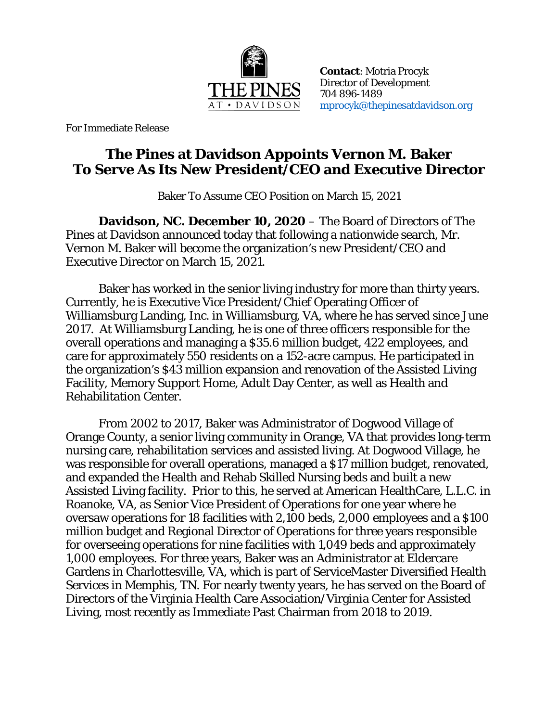

**Contact**: Motria Procyk Director of Development 704 896-1489 [mprocyk@thepinesatdavidson.org](mailto:mprocyk@thepinesatdavidson.org)

For Immediate Release

## **The Pines at Davidson Appoints Vernon M. Baker To Serve As Its New President/CEO and Executive Director**

Baker To Assume CEO Position on March 15, 2021

**Davidson, NC. December 10, 2020** – The Board of Directors of The Pines at Davidson announced today that following a nationwide search, Mr. Vernon M. Baker will become the organization's new President/CEO and Executive Director on March 15, 2021.

Baker has worked in the senior living industry for more than thirty years. Currently, he is Executive Vice President/Chief Operating Officer of Williamsburg Landing, Inc. in Williamsburg, VA, where he has served since June 2017. At Williamsburg Landing, he is one of three officers responsible for the overall operations and managing a \$35.6 million budget, 422 employees, and care for approximately 550 residents on a 152-acre campus. He participated in the organization's \$43 million expansion and renovation of the Assisted Living Facility, Memory Support Home, Adult Day Center, as well as Health and Rehabilitation Center.

From 2002 to 2017, Baker was Administrator of Dogwood Village of Orange County, a senior living community in Orange, VA that provides long-term nursing care, rehabilitation services and assisted living. At Dogwood Village, he was responsible for overall operations, managed a \$17 million budget, renovated, and expanded the Health and Rehab Skilled Nursing beds and built a new Assisted Living facility. Prior to this, he served at American HealthCare, L.L.C. in Roanoke, VA, as Senior Vice President of Operations for one year where he oversaw operations for 18 facilities with 2,100 beds, 2,000 employees and a \$100 million budget and Regional Director of Operations for three years responsible for overseeing operations for nine facilities with 1,049 beds and approximately 1,000 employees. For three years, Baker was an Administrator at Eldercare Gardens in Charlottesville, VA, which is part of ServiceMaster Diversified Health Services in Memphis, TN. For nearly twenty years, he has served on the Board of Directors of the Virginia Health Care Association/Virginia Center for Assisted Living, most recently as Immediate Past Chairman from 2018 to 2019.